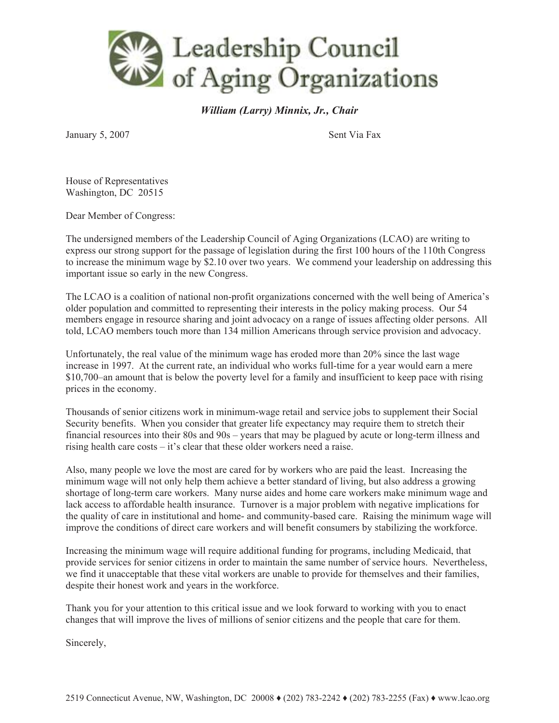

*William (Larry) Minnix, Jr., Chair* 

January 5, 2007 Sent Via Fax

House of Representatives Washington, DC 20515

Dear Member of Congress:

The undersigned members of the Leadership Council of Aging Organizations (LCAO) are writing to express our strong support for the passage of legislation during the first 100 hours of the 110th Congress to increase the minimum wage by \$2.10 over two years. We commend your leadership on addressing this important issue so early in the new Congress.

The LCAO is a coalition of national non-profit organizations concerned with the well being of America's older population and committed to representing their interests in the policy making process. Our 54 members engage in resource sharing and joint advocacy on a range of issues affecting older persons. All told, LCAO members touch more than 134 million Americans through service provision and advocacy.

Unfortunately, the real value of the minimum wage has eroded more than 20% since the last wage increase in 1997. At the current rate, an individual who works full-time for a year would earn a mere \$10,700–an amount that is below the poverty level for a family and insufficient to keep pace with rising prices in the economy.

Thousands of senior citizens work in minimum-wage retail and service jobs to supplement their Social Security benefits. When you consider that greater life expectancy may require them to stretch their financial resources into their 80s and 90s – years that may be plagued by acute or long-term illness and rising health care costs – it's clear that these older workers need a raise.

Also, many people we love the most are cared for by workers who are paid the least. Increasing the minimum wage will not only help them achieve a better standard of living, but also address a growing shortage of long-term care workers. Many nurse aides and home care workers make minimum wage and lack access to affordable health insurance. Turnover is a major problem with negative implications for the quality of care in institutional and home- and community-based care. Raising the minimum wage will improve the conditions of direct care workers and will benefit consumers by stabilizing the workforce.

Increasing the minimum wage will require additional funding for programs, including Medicaid, that provide services for senior citizens in order to maintain the same number of service hours. Nevertheless, we find it unacceptable that these vital workers are unable to provide for themselves and their families, despite their honest work and years in the workforce.

Thank you for your attention to this critical issue and we look forward to working with you to enact changes that will improve the lives of millions of senior citizens and the people that care for them.

Sincerely,